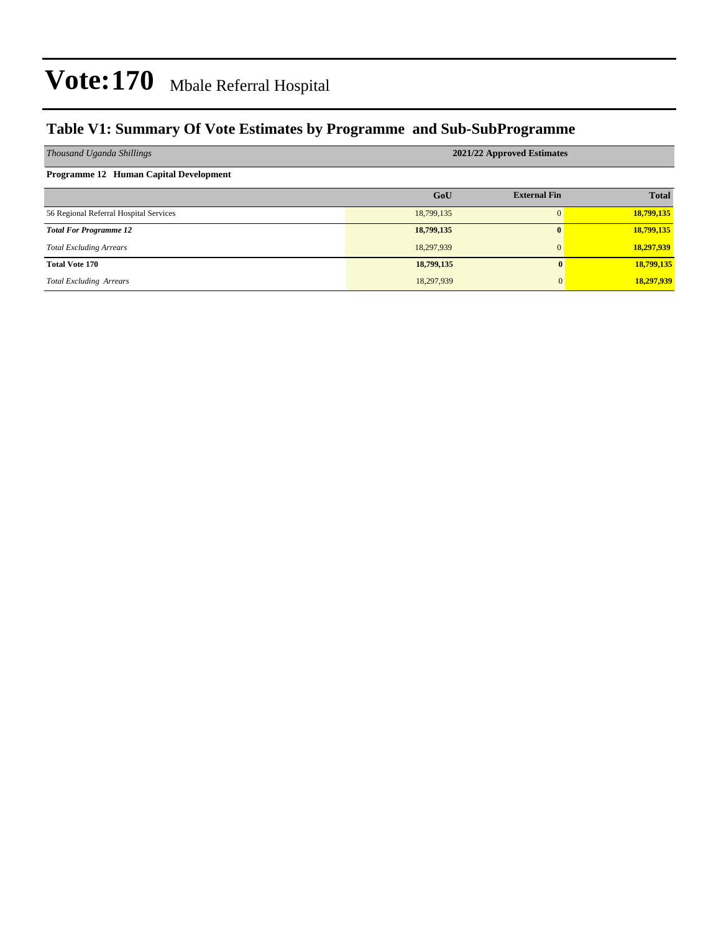### **Table V1: Summary Of Vote Estimates by Programme and Sub-SubProgramme**

| Thousand Uganda Shillings              | 2021/22 Approved Estimates |                     |              |  |  |  |  |
|----------------------------------------|----------------------------|---------------------|--------------|--|--|--|--|
| Programme 12 Human Capital Development |                            |                     |              |  |  |  |  |
|                                        | GoU                        | <b>External Fin</b> | <b>Total</b> |  |  |  |  |
| 56 Regional Referral Hospital Services | 18,799,135                 | $\Omega$            | 18,799,135   |  |  |  |  |
| <b>Total For Programme 12</b>          | 18,799,135                 | $\mathbf{0}$        | 18,799,135   |  |  |  |  |
| <b>Total Excluding Arrears</b>         | 18,297,939                 | $\mathbf{0}$        | 18,297,939   |  |  |  |  |
| <b>Total Vote 170</b>                  | 18,799,135                 | 0                   | 18,799,135   |  |  |  |  |
| <b>Total Excluding Arrears</b>         | 18,297,939                 | $\Omega$            | 18,297,939   |  |  |  |  |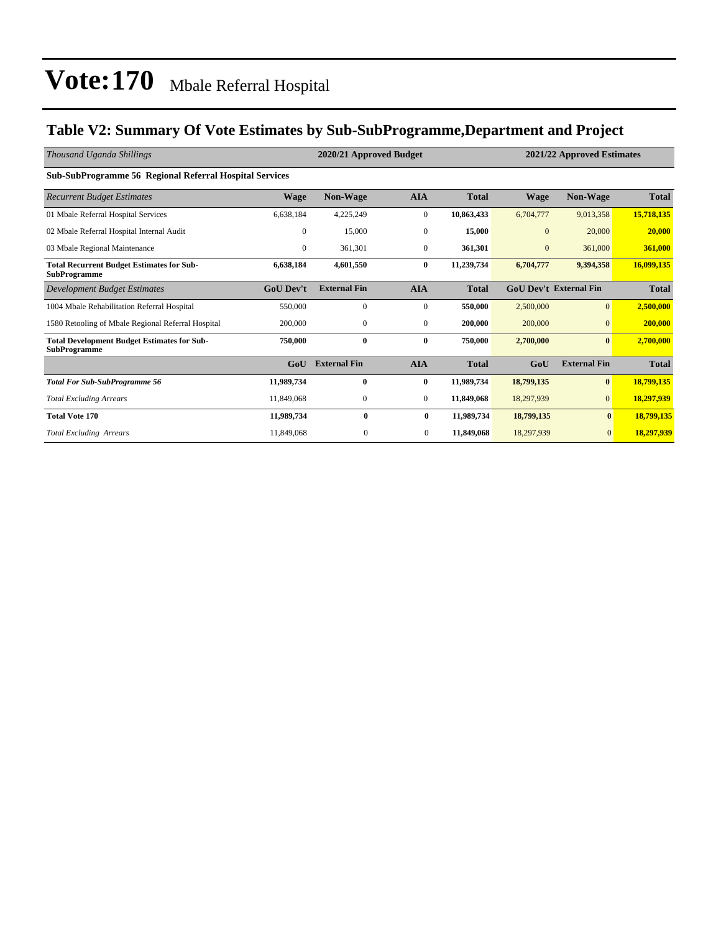### **Table V2: Summary Of Vote Estimates by Sub-SubProgramme,Department and Project**

| Thousand Uganda Shillings                                                 |                  | 2020/21 Approved Budget | 2021/22 Approved Estimates |              |                |                               |              |
|---------------------------------------------------------------------------|------------------|-------------------------|----------------------------|--------------|----------------|-------------------------------|--------------|
| <b>Sub-SubProgramme 56 Regional Referral Hospital Services</b>            |                  |                         |                            |              |                |                               |              |
| <b>Recurrent Budget Estimates</b>                                         | Wage             | Non-Wage                | <b>AIA</b>                 | <b>Total</b> | <b>Wage</b>    | Non-Wage                      | <b>Total</b> |
| 01 Mbale Referral Hospital Services                                       | 6,638,184        | 4,225,249               | $\boldsymbol{0}$           | 10,863,433   | 6,704,777      | 9,013,358                     | 15,718,135   |
| 02 Mbale Referral Hospital Internal Audit                                 | $\mathbf{0}$     | 15,000                  | $\mathbf{0}$               | 15,000       | $\overline{0}$ | 20,000                        | 20,000       |
| 03 Mbale Regional Maintenance                                             | $\overline{0}$   | 361,301                 | $\mathbf{0}$               | 361,301      | $\mathbf{0}$   | 361,000                       | 361,000      |
| <b>Total Recurrent Budget Estimates for Sub-</b><br><b>SubProgramme</b>   | 6,638,184        | 4,601,550               | $\bf{0}$                   | 11,239,734   | 6,704,777      | 9,394,358                     | 16,099,135   |
| Development Budget Estimates                                              | <b>GoU</b> Dev't | <b>External Fin</b>     | <b>AIA</b>                 | <b>Total</b> |                | <b>GoU Dev't External Fin</b> | <b>Total</b> |
| 1004 Mbale Rehabilitation Referral Hospital                               | 550,000          | $\mathbf{0}$            | $\mathbf{0}$               | 550,000      | 2,500,000      | $\overline{0}$                | 2,500,000    |
| 1580 Retooling of Mbale Regional Referral Hospital                        | 200,000          | $\mathbf{0}$            | $\mathbf{0}$               | 200,000      | 200,000        | $\mathbf{0}$                  | 200,000      |
| <b>Total Development Budget Estimates for Sub-</b><br><b>SubProgramme</b> | 750,000          | $\bf{0}$                | $\bf{0}$                   | 750,000      | 2,700,000      | $\bf{0}$                      | 2,700,000    |
|                                                                           | GoU              | <b>External Fin</b>     | <b>AIA</b>                 | <b>Total</b> | GoU            | <b>External Fin</b>           | <b>Total</b> |
| <b>Total For Sub-SubProgramme 56</b>                                      | 11,989,734       | $\bf{0}$                | $\bf{0}$                   | 11,989,734   | 18,799,135     | $\bf{0}$                      | 18,799,135   |
| <b>Total Excluding Arrears</b>                                            | 11,849,068       | $\mathbf{0}$            | $\mathbf{0}$               | 11,849,068   | 18,297,939     | $\overline{0}$                | 18,297,939   |
| <b>Total Vote 170</b>                                                     | 11,989,734       | $\mathbf{0}$            | $\bf{0}$                   | 11,989,734   | 18,799,135     | $\bf{0}$                      | 18,799,135   |
| <b>Total Excluding Arrears</b>                                            | 11,849,068       | $\mathbf{0}$            | $\overline{0}$             | 11,849,068   | 18,297,939     | $\overline{0}$                | 18,297,939   |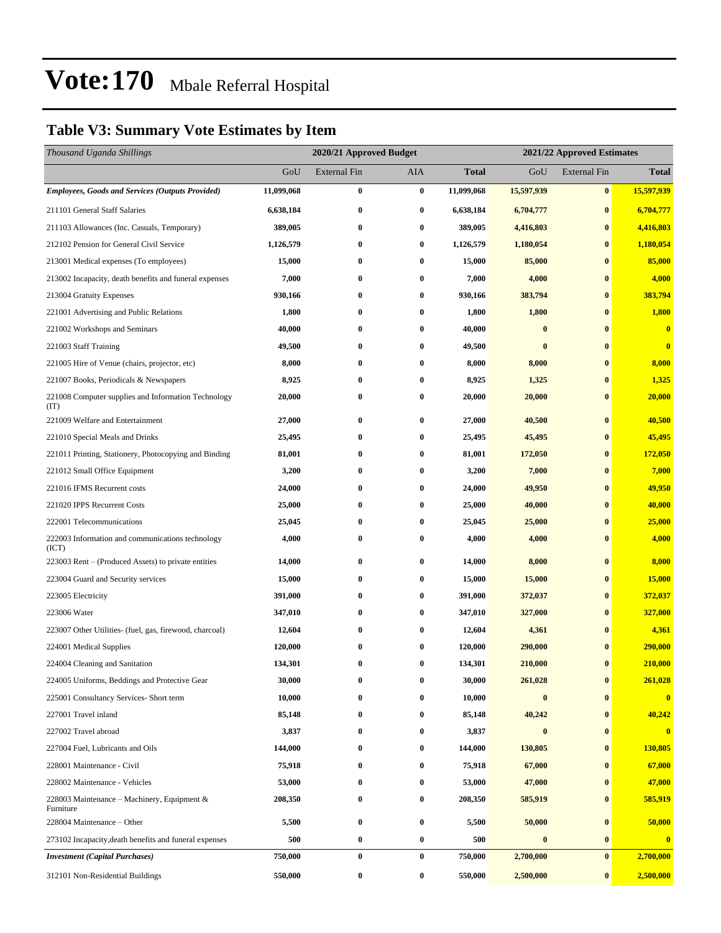### **Table V3: Summary Vote Estimates by Item**

| Thousand Uganda Shillings                                   |            | 2020/21 Approved Budget |            | 2021/22 Approved Estimates |            |                     |              |
|-------------------------------------------------------------|------------|-------------------------|------------|----------------------------|------------|---------------------|--------------|
|                                                             | GoU        | <b>External Fin</b>     | <b>AIA</b> | <b>Total</b>               | GoU        | <b>External Fin</b> | <b>Total</b> |
| <b>Employees, Goods and Services (Outputs Provided)</b>     | 11,099,068 | $\bf{0}$                | $\bf{0}$   | 11,099,068                 | 15,597,939 | $\bf{0}$            | 15,597,939   |
| 211101 General Staff Salaries                               | 6,638,184  | $\bf{0}$                | $\bf{0}$   | 6,638,184                  | 6,704,777  | $\bf{0}$            | 6,704,777    |
| 211103 Allowances (Inc. Casuals, Temporary)                 | 389,005    | $\bf{0}$                | $\bf{0}$   | 389,005                    | 4,416,803  | $\bf{0}$            | 4,416,803    |
| 212102 Pension for General Civil Service                    | 1,126,579  | $\bf{0}$                | $\bf{0}$   | 1,126,579                  | 1,180,054  | $\bf{0}$            | 1,180,054    |
| 213001 Medical expenses (To employees)                      | 15,000     | $\bf{0}$                | $\bf{0}$   | 15,000                     | 85,000     | $\bf{0}$            | 85,000       |
| 213002 Incapacity, death benefits and funeral expenses      | 7,000      | $\bf{0}$                | $\bf{0}$   | 7,000                      | 4,000      | $\bf{0}$            | 4,000        |
| 213004 Gratuity Expenses                                    | 930,166    | 0                       | $\bf{0}$   | 930,166                    | 383,794    | $\bf{0}$            | 383,794      |
| 221001 Advertising and Public Relations                     | 1,800      | 0                       | $\bf{0}$   | 1,800                      | 1,800      | $\bf{0}$            | 1,800        |
| 221002 Workshops and Seminars                               | 40,000     | $\bf{0}$                | $\bf{0}$   | 40,000                     | $\bf{0}$   | $\bf{0}$            | $\bf{0}$     |
| 221003 Staff Training                                       | 49,500     | $\bf{0}$                | $\bf{0}$   | 49,500                     | $\bf{0}$   | $\bf{0}$            | $\bf{0}$     |
| 221005 Hire of Venue (chairs, projector, etc)               | 8,000      | $\bf{0}$                | $\bf{0}$   | 8,000                      | 8,000      | $\bf{0}$            | 8,000        |
| 221007 Books, Periodicals & Newspapers                      | 8,925      | 0                       | $\bf{0}$   | 8,925                      | 1,325      | $\bf{0}$            | 1,325        |
| 221008 Computer supplies and Information Technology<br>(TT) | 20,000     | $\bf{0}$                | $\bf{0}$   | 20,000                     | 20,000     | $\bf{0}$            | 20,000       |
| 221009 Welfare and Entertainment                            | 27,000     | $\bf{0}$                | $\bf{0}$   | 27,000                     | 40,500     | $\bf{0}$            | 40,500       |
| 221010 Special Meals and Drinks                             | 25,495     | $\bf{0}$                | $\bf{0}$   | 25,495                     | 45,495     | $\bf{0}$            | 45,495       |
| 221011 Printing, Stationery, Photocopying and Binding       | 81,001     | 0                       | $\bf{0}$   | 81,001                     | 172,050    | $\bf{0}$            | 172,050      |
| 221012 Small Office Equipment                               | 3,200      | $\bf{0}$                | $\bf{0}$   | 3,200                      | 7,000      | $\bf{0}$            | 7,000        |
| 221016 IFMS Recurrent costs                                 | 24,000     | $\bf{0}$                | $\bf{0}$   | 24,000                     | 49,950     | $\bf{0}$            | 49,950       |
| 221020 IPPS Recurrent Costs                                 | 25,000     | 0                       | $\bf{0}$   | 25,000                     | 40,000     | $\bf{0}$            | 40,000       |
| 222001 Telecommunications                                   | 25,045     | $\bf{0}$                | $\bf{0}$   | 25,045                     | 25,000     | $\bf{0}$            | 25,000       |
| 222003 Information and communications technology<br>(ICT)   | 4,000      | 0                       | $\bf{0}$   | 4,000                      | 4,000      | $\bf{0}$            | 4,000        |
| 223003 Rent – (Produced Assets) to private entities         | 14,000     | $\bf{0}$                | $\bf{0}$   | 14,000                     | 8,000      | $\bf{0}$            | 8,000        |
| 223004 Guard and Security services                          | 15,000     | $\bf{0}$                | $\bf{0}$   | 15,000                     | 15,000     | $\bf{0}$            | 15,000       |
| 223005 Electricity                                          | 391,000    | 0                       | $\bf{0}$   | 391,000                    | 372,037    | $\bf{0}$            | 372,037      |
| 223006 Water                                                | 347,010    | 0                       | $\bf{0}$   | 347,010                    | 327,000    | $\bf{0}$            | 327,000      |
| 223007 Other Utilities- (fuel, gas, firewood, charcoal)     | 12,604     | $\bf{0}$                | $\bf{0}$   | 12,604                     | 4,361      | $\bf{0}$            | 4,361        |
| 224001 Medical Supplies                                     | 120,000    | 0                       | $\bf{0}$   | 120,000                    | 290,000    | $\bf{0}$            | 290,000      |
| 224004 Cleaning and Sanitation                              | 134,301    | $\bf{0}$                | $\bf{0}$   | 134,301                    | 210,000    | $\bf{0}$            | 210,000      |
| 224005 Uniforms, Beddings and Protective Gear               | 30,000     | 0                       | $\bf{0}$   | 30,000                     | 261,028    | $\bf{0}$            | 261,028      |
| 225001 Consultancy Services- Short term                     | 10,000     | 0                       | $\bf{0}$   | 10,000                     | $\bf{0}$   | $\bf{0}$            | $\bf{0}$     |
| 227001 Travel inland                                        | 85,148     | $\bf{0}$                | $\bf{0}$   | 85,148                     | 40,242     | $\bf{0}$            | 40,242       |
| 227002 Travel abroad                                        | 3,837      | 0                       | $\bf{0}$   | 3,837                      | $\bf{0}$   | $\bf{0}$            | $\bf{0}$     |
| 227004 Fuel, Lubricants and Oils                            | 144,000    | $\bf{0}$                | $\bf{0}$   | 144,000                    | 130,805    | $\bf{0}$            | 130,805      |
| 228001 Maintenance - Civil                                  | 75,918     | 0                       | $\bf{0}$   | 75,918                     | 67,000     | $\bf{0}$            | 67,000       |
| 228002 Maintenance - Vehicles                               | 53,000     | 0                       | $\bf{0}$   | 53,000                     | 47,000     | $\bf{0}$            | 47,000       |
| 228003 Maintenance – Machinery, Equipment &<br>Furniture    | 208,350    | $\bf{0}$                | $\bf{0}$   | 208,350                    | 585,919    | $\bf{0}$            | 585,919      |
| 228004 Maintenance - Other                                  | 5,500      | $\bf{0}$                | $\bf{0}$   | 5,500                      | 50,000     | $\bf{0}$            | 50,000       |
| 273102 Incapacity, death benefits and funeral expenses      | 500        | $\bf{0}$                | $\bf{0}$   | 500                        | $\bf{0}$   | $\bf{0}$            | $\bf{0}$     |
| <b>Investment</b> (Capital Purchases)                       | 750,000    | $\bf{0}$                | $\bf{0}$   | 750,000                    | 2,700,000  | $\bf{0}$            | 2,700,000    |
| 312101 Non-Residential Buildings                            | 550,000    | $\bf{0}$                | $\bf{0}$   | 550,000                    | 2,500,000  | $\bf{0}$            | 2,500,000    |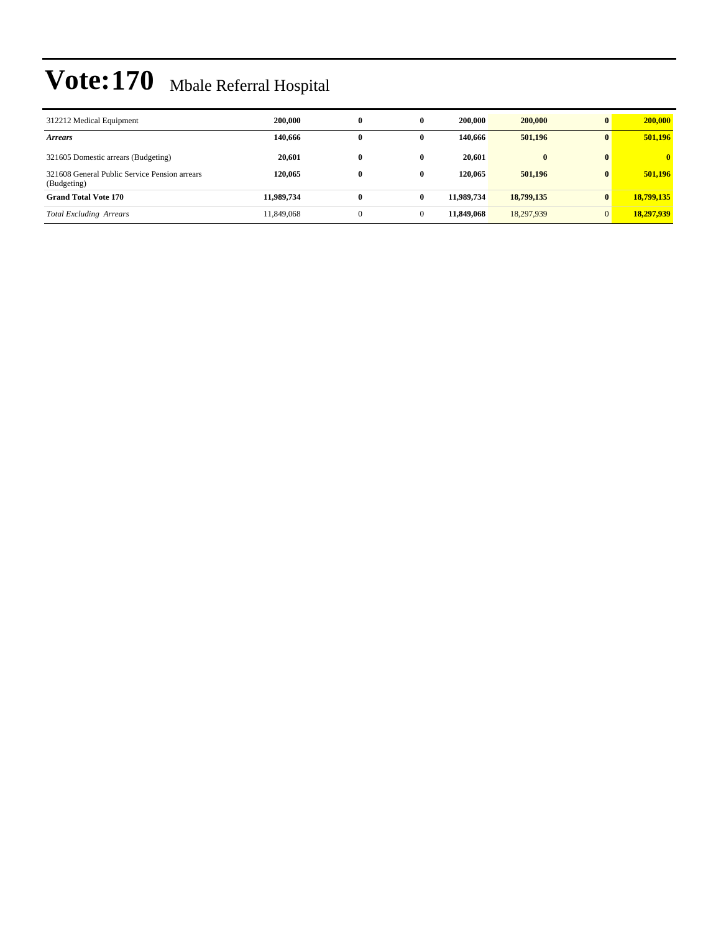| 312212 Medical Equipment                                     | 200,000    | $\bf{0}$     | 0            | 200,000    | 200,000    | $\mathbf{0}$ | 200,000        |
|--------------------------------------------------------------|------------|--------------|--------------|------------|------------|--------------|----------------|
| <b>Arrears</b>                                               | 140,666    | 0            | 0            | 140.666    | 501,196    | $\mathbf{0}$ | 501,196        |
| 321605 Domestic arrears (Budgeting)                          | 20.601     | $\bf{0}$     | 0            | 20.601     | $\bf{0}$   | $\mathbf{0}$ | $\overline{0}$ |
| 321608 General Public Service Pension arrears<br>(Budgeting) | 120,065    | $\mathbf{0}$ | $\mathbf{0}$ | 120.065    | 501.196    | $\mathbf{0}$ | 501.196        |
| <b>Grand Total Vote 170</b>                                  | 11.989.734 | $\bf{0}$     | 0            | 11.989.734 | 18,799,135 | $\bf{0}$     | 18,799,135     |
| <b>Total Excluding Arrears</b>                               | 11,849,068 | $\Omega$     | $\bf{0}$     | 11,849,068 | 18,297,939 | $\Omega$     | 18,297,939     |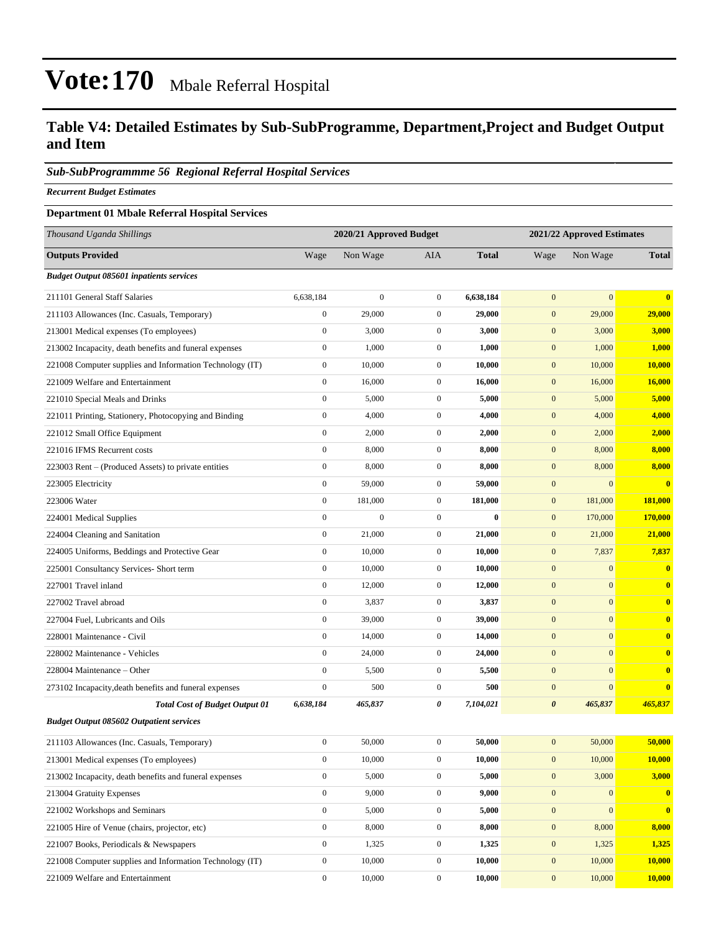#### **Table V4: Detailed Estimates by Sub-SubProgramme, Department,Project and Budget Output and Item**

#### *Sub-SubProgrammme 56 Regional Referral Hospital Services*

*Recurrent Budget Estimates*

#### **Department 01 Mbale Referral Hospital Services**

| Thousand Uganda Shillings                                |                  | 2020/21 Approved Budget |                  |              |                       | 2021/22 Approved Estimates |                         |
|----------------------------------------------------------|------------------|-------------------------|------------------|--------------|-----------------------|----------------------------|-------------------------|
| <b>Outputs Provided</b>                                  | Wage             | Non Wage                | AIA              | <b>Total</b> | Wage                  | Non Wage                   | <b>Total</b>            |
| <b>Budget Output 085601 inpatients services</b>          |                  |                         |                  |              |                       |                            |                         |
| 211101 General Staff Salaries                            | 6,638,184        | $\boldsymbol{0}$        | $\mathbf{0}$     | 6,638,184    | $\mathbf{0}$          | $\mathbf{0}$               | $\mathbf{0}$            |
| 211103 Allowances (Inc. Casuals, Temporary)              | $\boldsymbol{0}$ | 29,000                  | $\mathbf{0}$     | 29,000       | $\boldsymbol{0}$      | 29,000                     | 29,000                  |
| 213001 Medical expenses (To employees)                   | $\boldsymbol{0}$ | 3,000                   | $\mathbf{0}$     | 3,000        | $\mathbf{0}$          | 3,000                      | 3,000                   |
| 213002 Incapacity, death benefits and funeral expenses   | $\boldsymbol{0}$ | 1,000                   | $\boldsymbol{0}$ | 1,000        | $\boldsymbol{0}$      | 1,000                      | 1,000                   |
| 221008 Computer supplies and Information Technology (IT) | $\boldsymbol{0}$ | 10,000                  | $\mathbf{0}$     | 10,000       | $\boldsymbol{0}$      | 10,000                     | 10,000                  |
| 221009 Welfare and Entertainment                         | $\boldsymbol{0}$ | 16,000                  | $\mathbf{0}$     | 16,000       | $\mathbf{0}$          | 16,000                     | 16,000                  |
| 221010 Special Meals and Drinks                          | $\boldsymbol{0}$ | 5,000                   | $\mathbf{0}$     | 5,000        | $\mathbf{0}$          | 5,000                      | 5,000                   |
| 221011 Printing, Stationery, Photocopying and Binding    | $\boldsymbol{0}$ | 4,000                   | $\mathbf{0}$     | 4,000        | $\mathbf{0}$          | 4,000                      | 4,000                   |
| 221012 Small Office Equipment                            | $\boldsymbol{0}$ | 2,000                   | $\boldsymbol{0}$ | 2,000        | $\boldsymbol{0}$      | 2,000                      | 2,000                   |
| 221016 IFMS Recurrent costs                              | $\boldsymbol{0}$ | 8,000                   | $\mathbf{0}$     | 8,000        | $\mathbf{0}$          | 8,000                      | 8,000                   |
| 223003 Rent – (Produced Assets) to private entities      | $\boldsymbol{0}$ | 8,000                   | $\mathbf{0}$     | 8,000        | $\mathbf{0}$          | 8,000                      | 8,000                   |
| 223005 Electricity                                       | $\boldsymbol{0}$ | 59,000                  | $\mathbf{0}$     | 59,000       | $\boldsymbol{0}$      | $\mathbf{0}$               | $\bf{0}$                |
| 223006 Water                                             | $\boldsymbol{0}$ | 181,000                 | $\mathbf{0}$     | 181,000      | $\mathbf{0}$          | 181,000                    | 181,000                 |
| 224001 Medical Supplies                                  | $\boldsymbol{0}$ | $\boldsymbol{0}$        | $\boldsymbol{0}$ | $\bf{0}$     | $\boldsymbol{0}$      | 170,000                    | 170,000                 |
| 224004 Cleaning and Sanitation                           | $\boldsymbol{0}$ | 21,000                  | $\mathbf{0}$     | 21,000       | $\mathbf{0}$          | 21,000                     | 21,000                  |
| 224005 Uniforms, Beddings and Protective Gear            | $\boldsymbol{0}$ | 10,000                  | $\boldsymbol{0}$ | 10,000       | $\mathbf{0}$          | 7,837                      | 7,837                   |
| 225001 Consultancy Services- Short term                  | $\boldsymbol{0}$ | 10,000                  | $\mathbf{0}$     | 10,000       | $\mathbf{0}$          | $\mathbf{0}$               | $\overline{\mathbf{0}}$ |
| 227001 Travel inland                                     | $\boldsymbol{0}$ | 12,000                  | $\mathbf{0}$     | 12,000       | $\mathbf{0}$          | $\mathbf{0}$               | $\bf{0}$                |
| 227002 Travel abroad                                     | $\boldsymbol{0}$ | 3,837                   | $\boldsymbol{0}$ | 3,837        | $\boldsymbol{0}$      | $\mathbf{0}$               | $\mathbf{0}$            |
| 227004 Fuel, Lubricants and Oils                         | $\boldsymbol{0}$ | 39,000                  | $\mathbf{0}$     | 39,000       | $\mathbf{0}$          | $\mathbf{0}$               | $\bf{0}$                |
| 228001 Maintenance - Civil                               | $\boldsymbol{0}$ | 14,000                  | $\mathbf{0}$     | 14,000       | $\mathbf{0}$          | $\mathbf{0}$               | $\bf{0}$                |
| 228002 Maintenance - Vehicles                            | $\boldsymbol{0}$ | 24,000                  | $\mathbf{0}$     | 24,000       | $\mathbf{0}$          | $\mathbf{0}$               | $\bf{0}$                |
| 228004 Maintenance - Other                               | $\boldsymbol{0}$ | 5,500                   | $\mathbf{0}$     | 5,500        | $\mathbf{0}$          | $\mathbf{0}$               | $\bf{0}$                |
| 273102 Incapacity, death benefits and funeral expenses   | $\boldsymbol{0}$ | 500                     | $\boldsymbol{0}$ | 500          | $\boldsymbol{0}$      | $\mathbf{0}$               | $\bf{0}$                |
| <b>Total Cost of Budget Output 01</b>                    | 6,638,184        | 465,837                 | 0                | 7,104,021    | $\boldsymbol{\theta}$ | 465,837                    | 465,837                 |
| <b>Budget Output 085602 Outpatient services</b>          |                  |                         |                  |              |                       |                            |                         |
| 211103 Allowances (Inc. Casuals, Temporary)              | $\boldsymbol{0}$ | 50,000                  | $\mathbf{0}$     | 50,000       | $\mathbf{0}$          | 50,000                     | 50,000                  |
| 213001 Medical expenses (To employees)                   | $\boldsymbol{0}$ | 10,000                  | $\boldsymbol{0}$ | 10,000       | $\boldsymbol{0}$      | 10,000                     | 10,000                  |
| 213002 Incapacity, death benefits and funeral expenses   | $\boldsymbol{0}$ | 5,000                   | $\mathbf{0}$     | 5,000        | $\boldsymbol{0}$      | 3,000                      | 3,000                   |
| 213004 Gratuity Expenses                                 | $\boldsymbol{0}$ | 9,000                   | $\boldsymbol{0}$ | 9,000        | $\mathbf{0}$          | $\mathbf{0}$               | $\bf{0}$                |
| 221002 Workshops and Seminars                            | $\boldsymbol{0}$ | 5,000                   | $\boldsymbol{0}$ | 5,000        | $\boldsymbol{0}$      | $\boldsymbol{0}$           | $\bf{0}$                |
| 221005 Hire of Venue (chairs, projector, etc)            | $\boldsymbol{0}$ | 8,000                   | $\boldsymbol{0}$ | 8,000        | $\boldsymbol{0}$      | 8,000                      | 8,000                   |
| 221007 Books, Periodicals & Newspapers                   | $\boldsymbol{0}$ | 1,325                   | $\boldsymbol{0}$ | 1,325        | $\boldsymbol{0}$      | 1,325                      | 1,325                   |
| 221008 Computer supplies and Information Technology (IT) | $\boldsymbol{0}$ | 10,000                  | $\boldsymbol{0}$ | 10,000       | $\mathbf{0}$          | 10,000                     | 10,000                  |
| 221009 Welfare and Entertainment                         | $\boldsymbol{0}$ | 10,000                  | $\boldsymbol{0}$ | 10,000       | $\mathbf{0}$          | 10,000                     | 10,000                  |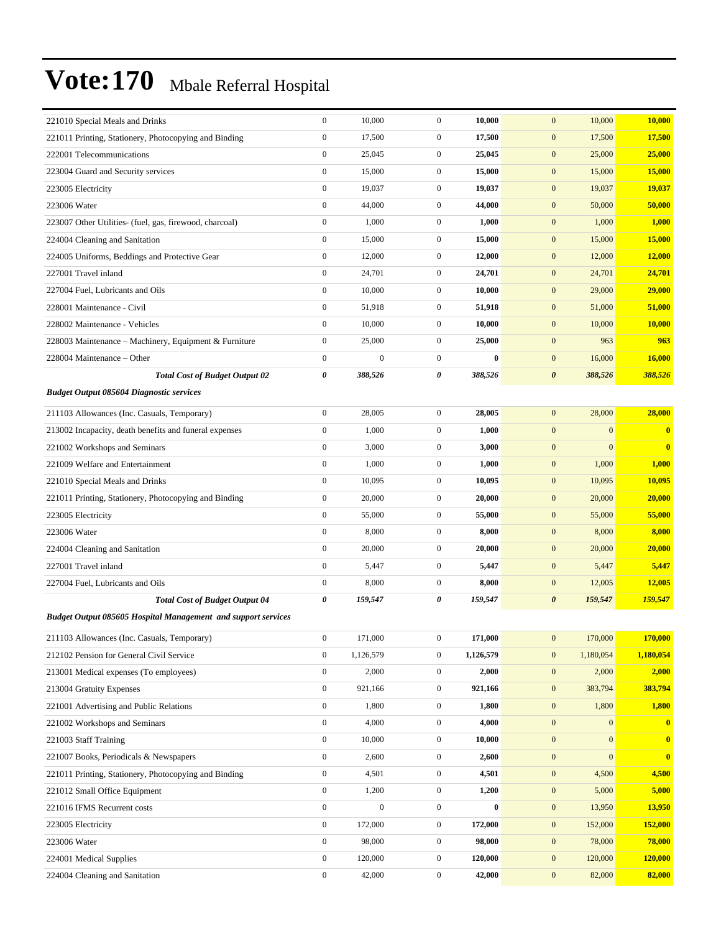| 221010 Special Meals and Drinks                                      | $\boldsymbol{0}$ | 10,000           | $\boldsymbol{0}$ | 10,000    | $\mathbf{0}$<br>10,000               | 10,000           |
|----------------------------------------------------------------------|------------------|------------------|------------------|-----------|--------------------------------------|------------------|
| 221011 Printing, Stationery, Photocopying and Binding                | $\boldsymbol{0}$ | 17,500           | $\boldsymbol{0}$ | 17,500    | $\mathbf{0}$<br>17,500               | 17,500           |
| 222001 Telecommunications                                            | $\boldsymbol{0}$ | 25,045           | $\boldsymbol{0}$ | 25,045    | $\mathbf{0}$<br>25,000               | 25,000           |
| 223004 Guard and Security services                                   | $\boldsymbol{0}$ | 15,000           | $\mathbf{0}$     | 15,000    | $\mathbf{0}$<br>15,000               | 15,000           |
| 223005 Electricity                                                   | $\boldsymbol{0}$ | 19,037           | $\mathbf{0}$     | 19,037    | $\mathbf{0}$<br>19,037               | 19,037           |
| 223006 Water                                                         | $\mathbf{0}$     | 44,000           | $\mathbf{0}$     | 44,000    | $\mathbf{0}$<br>50,000               | 50,000           |
| 223007 Other Utilities- (fuel, gas, firewood, charcoal)              | $\boldsymbol{0}$ | 1,000            | $\mathbf{0}$     | 1,000     | $\mathbf{0}$<br>1,000                | 1,000            |
| 224004 Cleaning and Sanitation                                       | $\boldsymbol{0}$ | 15,000           | $\boldsymbol{0}$ | 15,000    | $\mathbf{0}$<br>15,000               | 15,000           |
| 224005 Uniforms, Beddings and Protective Gear                        | $\boldsymbol{0}$ | 12,000           | $\mathbf{0}$     | 12,000    | $\mathbf{0}$<br>12,000               | 12,000           |
| 227001 Travel inland                                                 | $\boldsymbol{0}$ | 24,701           | $\mathbf{0}$     | 24,701    | $\mathbf{0}$<br>24,701               | 24,701           |
| 227004 Fuel, Lubricants and Oils                                     | $\boldsymbol{0}$ | 10,000           | $\boldsymbol{0}$ | 10,000    | $\mathbf{0}$<br>29,000               | 29,000           |
| 228001 Maintenance - Civil                                           | $\boldsymbol{0}$ | 51,918           | $\mathbf{0}$     | 51,918    | $\mathbf{0}$<br>51,000               | 51,000           |
| 228002 Maintenance - Vehicles                                        | $\boldsymbol{0}$ | 10,000           | $\boldsymbol{0}$ | 10,000    | $\mathbf{0}$<br>10,000               | 10,000           |
| 228003 Maintenance – Machinery, Equipment & Furniture                | $\boldsymbol{0}$ | 25,000           | $\mathbf{0}$     | 25,000    | $\boldsymbol{0}$<br>963              | 963              |
| 228004 Maintenance – Other                                           | $\boldsymbol{0}$ | $\boldsymbol{0}$ | $\overline{0}$   | $\bf{0}$  | $\boldsymbol{0}$<br>16,000           | 16,000           |
| <b>Total Cost of Budget Output 02</b>                                | $\pmb{\theta}$   | 388,526          | 0                | 388,526   | $\boldsymbol{\theta}$<br>388,526     | 388,526          |
| <b>Budget Output 085604 Diagnostic services</b>                      |                  |                  |                  |           |                                      |                  |
| 211103 Allowances (Inc. Casuals, Temporary)                          | $\boldsymbol{0}$ | 28,005           | $\overline{0}$   | 28,005    | $\mathbf{0}$<br>28,000               | 28,000           |
| 213002 Incapacity, death benefits and funeral expenses               | $\boldsymbol{0}$ | 1,000            | $\boldsymbol{0}$ | 1,000     | $\boldsymbol{0}$<br>$\boldsymbol{0}$ | $\bf{0}$         |
| 221002 Workshops and Seminars                                        | $\boldsymbol{0}$ | 3,000            | $\mathbf{0}$     | 3,000     | $\mathbf{0}$<br>$\boldsymbol{0}$     | $\bf{0}$         |
| 221009 Welfare and Entertainment                                     | $\boldsymbol{0}$ | 1,000            | $\boldsymbol{0}$ | 1,000     | $\mathbf{0}$<br>1,000                | 1,000            |
| 221010 Special Meals and Drinks                                      | $\boldsymbol{0}$ | 10,095           | $\boldsymbol{0}$ | 10,095    | $\mathbf{0}$<br>10,095               | 10,095           |
| 221011 Printing, Stationery, Photocopying and Binding                | $\boldsymbol{0}$ | 20,000           | $\mathbf{0}$     | 20,000    | $\mathbf{0}$<br>20,000               | 20,000           |
| 223005 Electricity                                                   | $\boldsymbol{0}$ | 55,000           | $\boldsymbol{0}$ | 55,000    | $\mathbf{0}$<br>55,000               | 55,000           |
| 223006 Water                                                         | $\boldsymbol{0}$ | 8,000            | $\mathbf{0}$     | 8,000     | $\boldsymbol{0}$<br>8,000            | 8,000            |
| 224004 Cleaning and Sanitation                                       | $\boldsymbol{0}$ | 20,000           | $\mathbf{0}$     | 20,000    | $\mathbf{0}$<br>20,000               | 20,000           |
| 227001 Travel inland                                                 | $\boldsymbol{0}$ | 5,447            | $\mathbf{0}$     | 5,447     | $\mathbf{0}$<br>5,447                | 5,447            |
| 227004 Fuel, Lubricants and Oils                                     | $\boldsymbol{0}$ | 8,000            | $\mathbf{0}$     | 8,000     | $\mathbf{0}$<br>12,005               | 12,005           |
| <b>Total Cost of Budget Output 04</b>                                | 0                | 159,547          | 0                | 159,547   | $\boldsymbol{\theta}$<br>159,547     | 159,547          |
| <b>Budget Output 085605 Hospital Management and support services</b> |                  |                  |                  |           |                                      |                  |
| 211103 Allowances (Inc. Casuals, Temporary)                          | $\mathbf{0}$     | 171,000          | 0                | 171,000   | 170,000<br>$\mathbf{0}$              | 170,000          |
| 212102 Pension for General Civil Service                             | $\boldsymbol{0}$ | 1,126,579        | $\boldsymbol{0}$ | 1,126,579 | 1,180,054<br>$\bf{0}$                | 1,180,054        |
| 213001 Medical expenses (To employees)                               | $\boldsymbol{0}$ | 2,000            | $\boldsymbol{0}$ | 2,000     | $\boldsymbol{0}$<br>2,000            | 2,000            |
| 213004 Gratuity Expenses                                             | $\boldsymbol{0}$ | 921,166          | $\boldsymbol{0}$ | 921,166   | $\mathbf{0}$<br>383,794              | 383,794          |
| 221001 Advertising and Public Relations                              | $\boldsymbol{0}$ | 1,800            | $\boldsymbol{0}$ | 1,800     | $\boldsymbol{0}$<br>1,800            | 1,800            |
| 221002 Workshops and Seminars                                        | $\boldsymbol{0}$ | 4,000            | $\mathbf{0}$     | 4,000     | $\mathbf{0}$<br>$\mathbf{0}$         | $\bf{0}$         |
| 221003 Staff Training                                                | $\boldsymbol{0}$ | 10,000           | $\boldsymbol{0}$ | 10,000    | $\boldsymbol{0}$<br>$\boldsymbol{0}$ | $\boldsymbol{0}$ |
| 221007 Books, Periodicals & Newspapers                               | $\boldsymbol{0}$ | 2,600            | $\boldsymbol{0}$ | 2,600     | $\boldsymbol{0}$<br>$\boldsymbol{0}$ | $\bf{0}$         |
| 221011 Printing, Stationery, Photocopying and Binding                | $\boldsymbol{0}$ | 4,501            | $\boldsymbol{0}$ | 4,501     | $\mathbf{0}$<br>4,500                | 4,500            |
| 221012 Small Office Equipment                                        | $\boldsymbol{0}$ | 1,200            | $\boldsymbol{0}$ | 1,200     | $\boldsymbol{0}$<br>5,000            | 5,000            |
| 221016 IFMS Recurrent costs                                          | $\boldsymbol{0}$ | $\boldsymbol{0}$ | $\mathbf{0}$     | $\bf{0}$  | $\mathbf{0}$<br>13,950               | 13,950           |
| 223005 Electricity                                                   | $\boldsymbol{0}$ | 172,000          | $\boldsymbol{0}$ | 172,000   | $\boldsymbol{0}$<br>152,000          | <b>152,000</b>   |
| 223006 Water                                                         | $\boldsymbol{0}$ | 98,000           | $\boldsymbol{0}$ | 98,000    | $\boldsymbol{0}$<br>78,000           | 78,000           |
| 224001 Medical Supplies                                              | $\boldsymbol{0}$ | 120,000          | $\boldsymbol{0}$ | 120,000   | $\mathbf{0}$<br>120,000              | 120,000          |
| 224004 Cleaning and Sanitation                                       | $\boldsymbol{0}$ | 42,000           | $\boldsymbol{0}$ | 42,000    | $\mathbf{0}$<br>82,000               | 82,000           |
|                                                                      |                  |                  |                  |           |                                      |                  |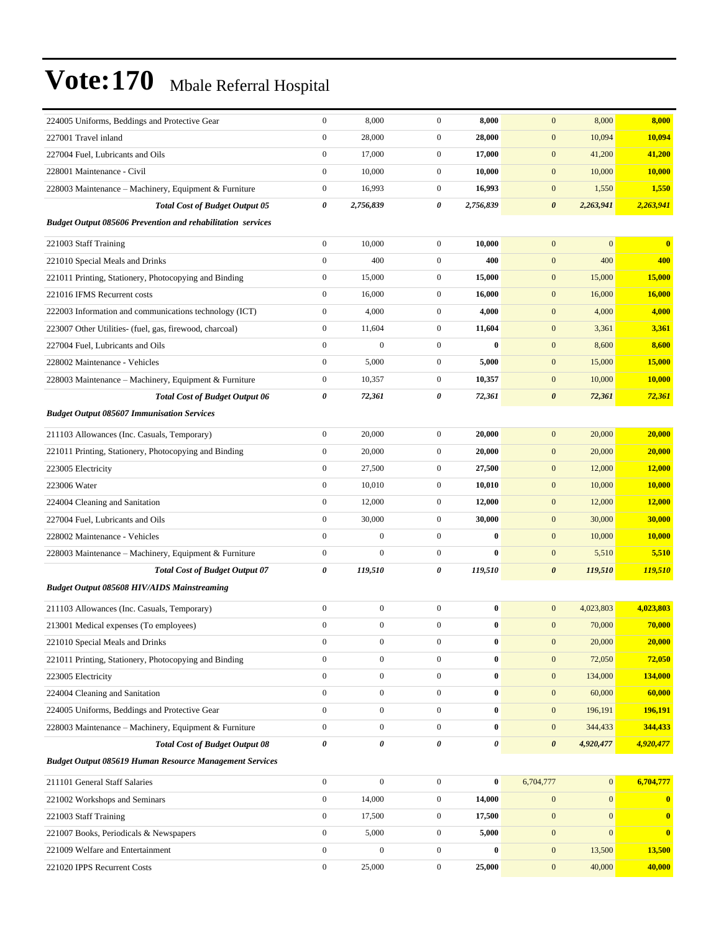| 224005 Uniforms, Beddings and Protective Gear                      | $\boldsymbol{0}$      | 8,000            | $\mathbf{0}$     | 8,000          | $\mathbf{0}$          | 8,000        | 8,000                   |
|--------------------------------------------------------------------|-----------------------|------------------|------------------|----------------|-----------------------|--------------|-------------------------|
| 227001 Travel inland                                               | $\boldsymbol{0}$      | 28,000           | $\mathbf{0}$     | 28,000         | $\mathbf{0}$          | 10,094       | 10,094                  |
| 227004 Fuel, Lubricants and Oils                                   | $\boldsymbol{0}$      | 17,000           | $\boldsymbol{0}$ | 17,000         | $\mathbf{0}$          | 41,200       | 41,200                  |
| 228001 Maintenance - Civil                                         | $\boldsymbol{0}$      | 10.000           | $\mathbf{0}$     | 10,000         | $\mathbf{0}$          | 10,000       | 10,000                  |
| 228003 Maintenance – Machinery, Equipment & Furniture              | $\boldsymbol{0}$      | 16,993           | $\boldsymbol{0}$ | 16,993         | $\mathbf{0}$          | 1,550        | 1,550                   |
| <b>Total Cost of Budget Output 05</b>                              | $\pmb{\theta}$        | 2,756,839        | 0                | 2,756,839      | $\boldsymbol{\theta}$ | 2,263,941    | 2,263,941               |
| <b>Budget Output 085606 Prevention and rehabilitation services</b> |                       |                  |                  |                |                       |              |                         |
| 221003 Staff Training                                              | $\boldsymbol{0}$      | 10,000           | $\mathbf{0}$     | 10,000         | $\mathbf{0}$          | $\mathbf{0}$ | $\overline{\mathbf{0}}$ |
| 221010 Special Meals and Drinks                                    | $\boldsymbol{0}$      | 400              | $\boldsymbol{0}$ | 400            | $\mathbf{0}$          | 400          | 400                     |
| 221011 Printing, Stationery, Photocopying and Binding              | $\boldsymbol{0}$      | 15,000           | $\boldsymbol{0}$ | 15,000         | $\mathbf{0}$          | 15,000       | 15,000                  |
| 221016 IFMS Recurrent costs                                        | $\boldsymbol{0}$      | 16,000           | $\mathbf{0}$     | 16,000         | $\mathbf{0}$          | 16,000       | 16,000                  |
| 222003 Information and communications technology (ICT)             | $\boldsymbol{0}$      | 4,000            | $\boldsymbol{0}$ | 4,000          | $\boldsymbol{0}$      | 4,000        | 4,000                   |
| 223007 Other Utilities- (fuel, gas, firewood, charcoal)            | $\boldsymbol{0}$      | 11,604           | $\boldsymbol{0}$ | 11,604         | $\mathbf{0}$          | 3,361        | 3,361                   |
| 227004 Fuel, Lubricants and Oils                                   | $\boldsymbol{0}$      | $\overline{0}$   | $\boldsymbol{0}$ | $\bf{0}$       | $\mathbf{0}$          | 8,600        | 8,600                   |
| 228002 Maintenance - Vehicles                                      | $\boldsymbol{0}$      | 5,000            | $\boldsymbol{0}$ | 5,000          | $\mathbf{0}$          | 15,000       | 15,000                  |
| 228003 Maintenance - Machinery, Equipment & Furniture              | $\boldsymbol{0}$      | 10,357           | $\boldsymbol{0}$ | 10,357         | $\mathbf{0}$          | 10,000       | 10,000                  |
| <b>Total Cost of Budget Output 06</b>                              | $\pmb{\theta}$        | 72,361           | 0                | 72,361         | $\boldsymbol{\theta}$ | 72,361       | 72,361                  |
| <b>Budget Output 085607 Immunisation Services</b>                  |                       |                  |                  |                |                       |              |                         |
| 211103 Allowances (Inc. Casuals, Temporary)                        | $\boldsymbol{0}$      | 20,000           | $\mathbf{0}$     | 20,000         | $\mathbf{0}$          | 20,000       | 20,000                  |
| 221011 Printing, Stationery, Photocopying and Binding              | $\boldsymbol{0}$      | 20,000           | $\boldsymbol{0}$ | 20,000         | $\mathbf{0}$          | 20,000       | 20,000                  |
| 223005 Electricity                                                 | $\boldsymbol{0}$      | 27,500           | $\mathbf{0}$     | 27,500         | $\mathbf{0}$          | 12,000       | 12,000                  |
| 223006 Water                                                       | $\boldsymbol{0}$      | 10,010           | $\boldsymbol{0}$ | 10,010         | $\mathbf{0}$          | 10,000       | 10,000                  |
| 224004 Cleaning and Sanitation                                     | $\boldsymbol{0}$      | 12,000           | $\boldsymbol{0}$ | 12,000         | $\mathbf{0}$          | 12,000       | <b>12,000</b>           |
| 227004 Fuel, Lubricants and Oils                                   | $\boldsymbol{0}$      | 30,000           | $\mathbf{0}$     | 30,000         | $\mathbf{0}$          | 30,000       | 30,000                  |
| 228002 Maintenance - Vehicles                                      | $\boldsymbol{0}$      | $\boldsymbol{0}$ | $\boldsymbol{0}$ | $\bf{0}$       | $\mathbf{0}$          | 10,000       | 10,000                  |
| 228003 Maintenance – Machinery, Equipment & Furniture              | $\boldsymbol{0}$      | $\overline{0}$   | $\boldsymbol{0}$ | $\bf{0}$       | $\mathbf{0}$          | 5,510        | 5,510                   |
| <b>Total Cost of Budget Output 07</b>                              | 0                     | 119,510          | 0                | 119,510        | $\boldsymbol{\theta}$ | 119,510      | 119,510                 |
| <b>Budget Output 085608 HIV/AIDS Mainstreaming</b>                 |                       |                  |                  |                |                       |              |                         |
| 211103 Allowances (Inc. Casuals, Temporary)                        | $\boldsymbol{0}$      | $\boldsymbol{0}$ | $\boldsymbol{0}$ | $\bf{0}$       | $\mathbf{0}$          | 4,023,803    | 4,023,803               |
| 213001 Medical expenses (To employees)                             | $\boldsymbol{0}$      | $\boldsymbol{0}$ | $\overline{0}$   | $\bf{0}$       | $\mathbf{0}$          | 70,000       | 70,000                  |
| 221010 Special Meals and Drinks                                    | $\boldsymbol{0}$      | $\boldsymbol{0}$ | $\boldsymbol{0}$ | $\bf{0}$       | $\mathbf{0}$          | 20,000       | 20,000                  |
| 221011 Printing, Stationery, Photocopying and Binding              | $\boldsymbol{0}$      | $\boldsymbol{0}$ | $\boldsymbol{0}$ | $\bf{0}$       | $\mathbf{0}$          | 72,050       | 72,050                  |
| 223005 Electricity                                                 | $\boldsymbol{0}$      | $\boldsymbol{0}$ | $\boldsymbol{0}$ | $\bf{0}$       | $\mathbf{0}$          | 134,000      | 134,000                 |
| 224004 Cleaning and Sanitation                                     | $\boldsymbol{0}$      | $\boldsymbol{0}$ | $\boldsymbol{0}$ | $\pmb{0}$      | $\boldsymbol{0}$      | 60,000       | 60,000                  |
| 224005 Uniforms, Beddings and Protective Gear                      | $\boldsymbol{0}$      | $\boldsymbol{0}$ | $\boldsymbol{0}$ | $\bf{0}$       | $\boldsymbol{0}$      | 196,191      | 196,191                 |
| 228003 Maintenance - Machinery, Equipment & Furniture              | $\boldsymbol{0}$      | $\boldsymbol{0}$ | $\boldsymbol{0}$ | $\bf{0}$       | $\boldsymbol{0}$      | 344,433      | 344,433                 |
| <b>Total Cost of Budget Output 08</b>                              | $\boldsymbol{\theta}$ | 0                | 0                | $\pmb{\theta}$ | $\boldsymbol{\theta}$ | 4,920,477    | 4,920,477               |
| <b>Budget Output 085619 Human Resource Management Services</b>     |                       |                  |                  |                |                       |              |                         |
| 211101 General Staff Salaries                                      | $\boldsymbol{0}$      | $\boldsymbol{0}$ | $\mathbf{0}$     | $\bf{0}$       | 6,704,777             | 0            | 6,704,777               |
| 221002 Workshops and Seminars                                      | $\boldsymbol{0}$      | 14,000           | $\boldsymbol{0}$ | 14,000         | $\boldsymbol{0}$      | $\mathbf{0}$ | $\mathbf{0}$            |
| 221003 Staff Training                                              | $\boldsymbol{0}$      | 17,500           | $\boldsymbol{0}$ | 17,500         | $\boldsymbol{0}$      | $\mathbf{0}$ | $\bf{0}$                |
| 221007 Books, Periodicals & Newspapers                             | $\boldsymbol{0}$      | 5,000            | $\boldsymbol{0}$ | 5,000          | $\boldsymbol{0}$      | $\mathbf{0}$ | $\bf{0}$                |
| 221009 Welfare and Entertainment                                   | $\boldsymbol{0}$      | $\boldsymbol{0}$ | $\boldsymbol{0}$ | $\bf{0}$       | $\boldsymbol{0}$      | 13,500       | 13,500                  |
| 221020 IPPS Recurrent Costs                                        | $\boldsymbol{0}$      | 25,000           | $\mathbf{0}$     | 25,000         | $\mathbf{0}$          | 40,000       | 40,000                  |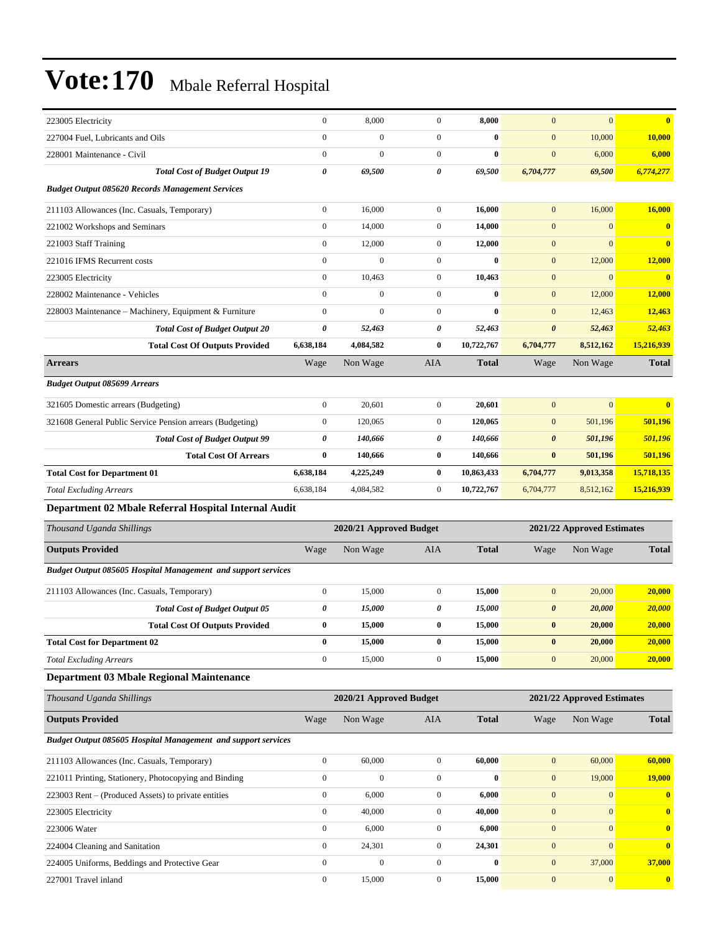| 223005 Electricity                                            | $\boldsymbol{0}$ | 8,000                   | $\boldsymbol{0}$ | 8,000        | $\mathbf{0}$          | $\mathbf{0}$               | $\bf{0}$     |
|---------------------------------------------------------------|------------------|-------------------------|------------------|--------------|-----------------------|----------------------------|--------------|
| 227004 Fuel, Lubricants and Oils                              | $\overline{0}$   | $\mathbf{0}$            | $\boldsymbol{0}$ | $\bf{0}$     | $\boldsymbol{0}$      | 10,000                     | 10,000       |
| 228001 Maintenance - Civil                                    | $\boldsymbol{0}$ | $\mathbf{0}$            | $\boldsymbol{0}$ | $\bf{0}$     | $\boldsymbol{0}$      | 6,000                      | 6,000        |
| <b>Total Cost of Budget Output 19</b>                         | 0                | 69,500                  | 0                | 69,500       | 6,704,777             | 69,500                     | 6,774,277    |
| <b>Budget Output 085620 Records Management Services</b>       |                  |                         |                  |              |                       |                            |              |
| 211103 Allowances (Inc. Casuals, Temporary)                   | $\boldsymbol{0}$ | 16,000                  | $\boldsymbol{0}$ | 16,000       | $\mathbf{0}$          | 16,000                     | 16,000       |
| 221002 Workshops and Seminars                                 | $\boldsymbol{0}$ | 14,000                  | $\boldsymbol{0}$ | 14,000       | $\mathbf{0}$          | $\mathbf{0}$               | $\bf{0}$     |
| 221003 Staff Training                                         | $\overline{0}$   | 12,000                  | $\boldsymbol{0}$ | 12,000       | $\mathbf{0}$          | $\mathbf{0}$               | $\bf{0}$     |
| 221016 IFMS Recurrent costs                                   | $\boldsymbol{0}$ | $\Omega$                | $\boldsymbol{0}$ | $\bf{0}$     | $\mathbf{0}$          | 12,000                     | 12,000       |
| 223005 Electricity                                            | $\boldsymbol{0}$ | 10,463                  | $\boldsymbol{0}$ | 10,463       | $\mathbf{0}$          | $\mathbf{0}$               | $\bf{0}$     |
| 228002 Maintenance - Vehicles                                 | $\boldsymbol{0}$ | $\boldsymbol{0}$        | $\boldsymbol{0}$ | $\bf{0}$     | $\mathbf{0}$          | 12,000                     | 12,000       |
| 228003 Maintenance - Machinery, Equipment & Furniture         | $\boldsymbol{0}$ | $\mathbf{0}$            | $\boldsymbol{0}$ | $\bf{0}$     | $\mathbf{0}$          | 12,463                     | 12,463       |
| <b>Total Cost of Budget Output 20</b>                         | 0                | 52,463                  | 0                | 52,463       | $\boldsymbol{\theta}$ | 52,463                     | 52,463       |
| <b>Total Cost Of Outputs Provided</b>                         | 6,638,184        | 4,084,582               | $\bf{0}$         | 10,722,767   | 6,704,777             | 8,512,162                  | 15,216,939   |
| <b>Arrears</b>                                                | Wage             | Non Wage                | AIA              | <b>Total</b> | Wage                  | Non Wage                   | <b>Total</b> |
| <b>Budget Output 085699 Arrears</b>                           |                  |                         |                  |              |                       |                            |              |
| 321605 Domestic arrears (Budgeting)                           | $\boldsymbol{0}$ | 20,601                  | $\boldsymbol{0}$ | 20,601       | $\mathbf{0}$          | $\mathbf{0}$               | $\bf{0}$     |
| 321608 General Public Service Pension arrears (Budgeting)     | $\boldsymbol{0}$ | 120,065                 | $\boldsymbol{0}$ | 120,065      | $\mathbf{0}$          | 501,196                    | 501,196      |
| <b>Total Cost of Budget Output 99</b>                         | 0                | 140,666                 | 0                | 140,666      | $\boldsymbol{\theta}$ | 501,196                    | 501,196      |
| <b>Total Cost Of Arrears</b>                                  | 0                | 140,666                 | $\bf{0}$         | 140,666      | $\bf{0}$              | 501,196                    | 501,196      |
| <b>Total Cost for Department 01</b>                           | 6,638,184        | 4,225,249               | $\bf{0}$         | 10,863,433   | 6,704,777             | 9,013,358                  | 15,718,135   |
| <b>Total Excluding Arrears</b>                                | 6,638,184        | 4,084,582               | $\boldsymbol{0}$ | 10,722,767   | 6,704,777             | 8,512,162                  | 15,216,939   |
| Department 02 Mbale Referral Hospital Internal Audit          |                  |                         |                  |              |                       |                            |              |
| Thousand Uganda Shillings                                     |                  | 2020/21 Approved Budget |                  |              |                       | 2021/22 Approved Estimates |              |
| <b>Outputs Provided</b>                                       | Wage             | Non Wage                | AIA              | <b>Total</b> | Wage                  | Non Wage                   | <b>Total</b> |
| Budget Output 085605 Hospital Management and support services |                  |                         |                  |              |                       |                            |              |
| 211103 Allowances (Inc. Casuals, Temporary)                   | $\boldsymbol{0}$ | 15,000                  | $\boldsymbol{0}$ | 15,000       | $\mathbf{0}$          |                            |              |
|                                                               |                  |                         |                  |              |                       | 20,000                     | 20,000       |
| <b>Total Cost of Budget Output 05</b>                         | 0                | 15,000                  | 0                | 15,000       | $\boldsymbol{\theta}$ | 20,000                     | 20,000       |
| <b>Total Cost Of Outputs Provided</b>                         | 0                | 15,000                  | $\bf{0}$         | 15,000       | $\bf{0}$              | 20,000                     | 20,000       |
| <b>Total Cost for Department 02</b>                           | 0                | 15,000                  | $\bf{0}$         | 15,000       | $\bf{0}$              | 20,000                     | 20,000       |
| <b>Total Excluding Arrears</b>                                | $\overline{0}$   | 15,000                  | $\boldsymbol{0}$ | 15,000       | $\mathbf{0}$          | 20,000                     | 20,000       |
| <b>Department 03 Mbale Regional Maintenance</b>               |                  |                         |                  |              |                       |                            |              |
| Thousand Uganda Shillings                                     |                  | 2020/21 Approved Budget |                  |              |                       | 2021/22 Approved Estimates |              |
| <b>Outputs Provided</b>                                       | Wage             | Non Wage                | AIA              | <b>Total</b> | Wage                  | Non Wage                   | <b>Total</b> |
| Budget Output 085605 Hospital Management and support services |                  |                         |                  |              |                       |                            |              |
| 211103 Allowances (Inc. Casuals, Temporary)                   | $\overline{0}$   | 60,000                  | $\boldsymbol{0}$ | 60,000       | $\boldsymbol{0}$      | 60,000                     | 60,000       |
| 221011 Printing, Stationery, Photocopying and Binding         | $\boldsymbol{0}$ | $\boldsymbol{0}$        | $\boldsymbol{0}$ | $\bf{0}$     | $\mathbf{0}$          | 19,000                     | 19,000       |
| 223003 Rent – (Produced Assets) to private entities           | $\boldsymbol{0}$ | 6,000                   | $\boldsymbol{0}$ | 6,000        | $\boldsymbol{0}$      | $\boldsymbol{0}$           | $\bf{0}$     |
| 223005 Electricity                                            | $\overline{0}$   | 40,000                  | $\boldsymbol{0}$ | 40,000       | $\boldsymbol{0}$      | $\mathbf{0}$               | $\bf{0}$     |
| 223006 Water                                                  | $\overline{0}$   | 6,000                   | $\boldsymbol{0}$ | 6,000        | $\boldsymbol{0}$      | $\mathbf{0}$               | $\bf{0}$     |
| 224004 Cleaning and Sanitation                                | $\boldsymbol{0}$ | 24,301                  | $\boldsymbol{0}$ | 24,301       | $\boldsymbol{0}$      | $\mathbf{0}$               | $\bf{0}$     |
| 224005 Uniforms, Beddings and Protective Gear                 | $\boldsymbol{0}$ | $\boldsymbol{0}$        | $\boldsymbol{0}$ | $\bf{0}$     | $\mathbf{0}$          | 37,000                     | 37,000       |